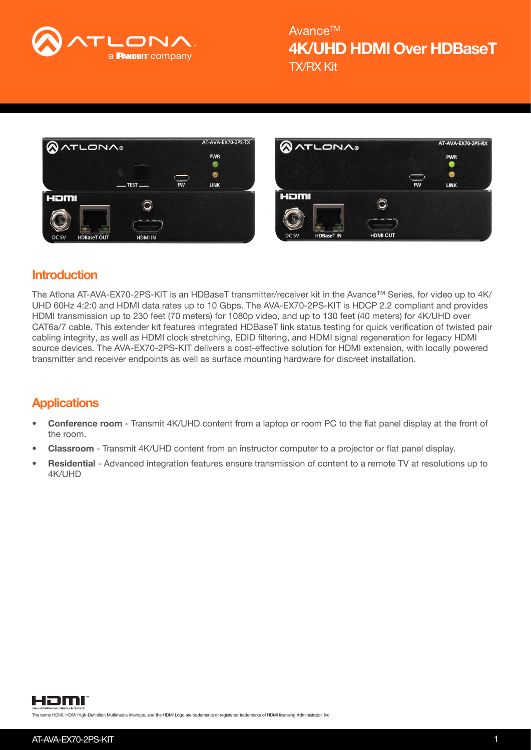

TX/RX Kit 4K/UHD HDMI Over HDBaseT Avance™





## **Introduction**

The Atlona AT-AVA-EX70-2PS-KIT is an HDBaseT transmitter/receiver kit in the Avance™ Series, for video up to 4K/ UHD 60Hz 4:2:0 and HDMI data rates up to 10 Gbps. The AVA-EX70-2PS-KIT is HDCP 2.2 compliant and provides HDMI transmission up to 230 feet (70 meters) for 1080p video, and up to 130 feet (40 meters) for 4K/UHD over CAT6a/7 cable. This extender kit features integrated HDBaseT link status testing for quick verification of twisted pair cabling integrity, as well as HDMI clock stretching, EDID filtering, and HDMI signal regeneration for legacy HDMI source devices. The AVA-EX70-2PS-KIT delivers a cost-effective solution for HDMI extension, with locally powered transmitter and receiver endpoints as well as surface mounting hardware for discreet installation.

# **Applications**

- Conference room Transmit 4K/UHD content from a laptop or room PC to the flat panel display at the front of the room.
- Classroom Transmit 4K/UHD content from an instructor computer to a projector or flat panel display.
- Residential Advanced integration features ensure transmission of content to a remote TV at resolutions up to 4K/UHD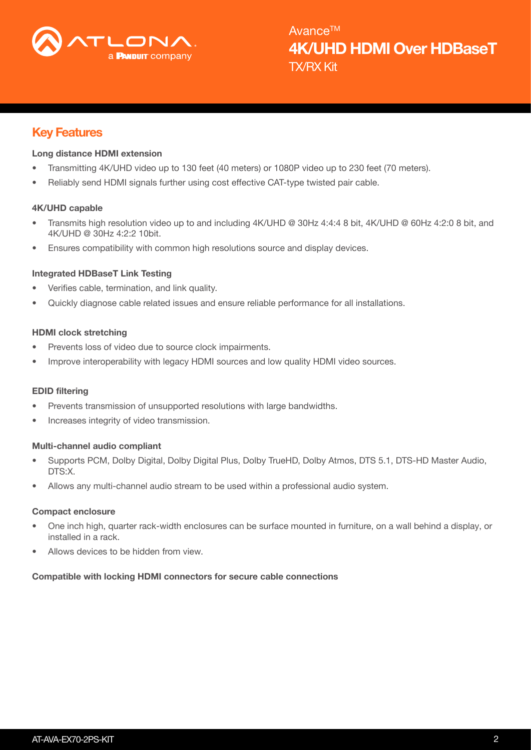

## Key Features

## Long distance HDMI extension

- Transmitting 4K/UHD video up to 130 feet (40 meters) or 1080P video up to 230 feet (70 meters).
- Reliably send HDMI signals further using cost effective CAT-type twisted pair cable.

## 4K/UHD capable

- Transmits high resolution video up to and including 4K/UHD @ 30Hz 4:4:4 8 bit, 4K/UHD @ 60Hz 4:2:0 8 bit, and 4K/UHD @ 30Hz 4:2:2 10bit.
- Ensures compatibility with common high resolutions source and display devices.

## Integrated HDBaseT Link Testing

- Verifies cable, termination, and link quality.
- Quickly diagnose cable related issues and ensure reliable performance for all installations.

## HDMI clock stretching

- Prevents loss of video due to source clock impairments.
- Improve interoperability with legacy HDMI sources and low quality HDMI video sources.

## EDID filtering

- Prevents transmission of unsupported resolutions with large bandwidths.
- Increases integrity of video transmission.

## Multi-channel audio compliant

- Supports PCM, Dolby Digital, Dolby Digital Plus, Dolby TrueHD, Dolby Atmos, DTS 5.1, DTS-HD Master Audio, DTS:X.
- Allows any multi-channel audio stream to be used within a professional audio system.

#### Compact enclosure

- One inch high, quarter rack-width enclosures can be surface mounted in furniture, on a wall behind a display, or installed in a rack.
- Allows devices to be hidden from view.

## Compatible with locking HDMI connectors for secure cable connections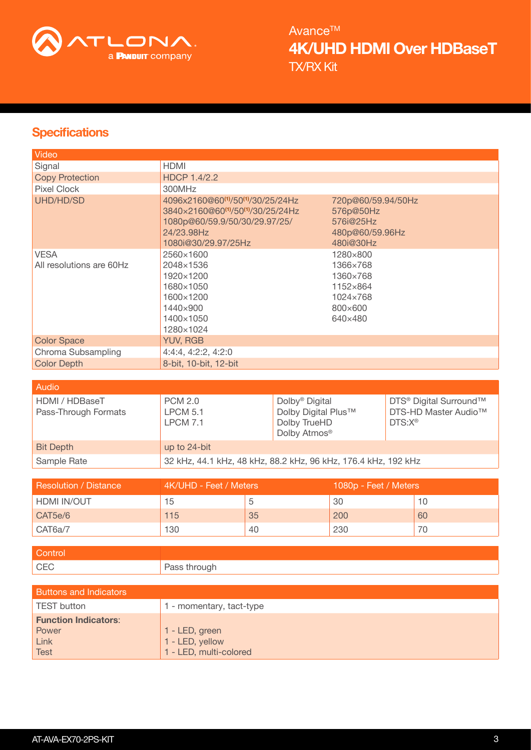

TX/RX Kit 4K/UHD HDMI Over HDBaseT Avance<sup>TM</sup>

# **Specifications**

| Video                                   |                                                                                                                                                                      |                                                                                |
|-----------------------------------------|----------------------------------------------------------------------------------------------------------------------------------------------------------------------|--------------------------------------------------------------------------------|
| Signal                                  | <b>HDMI</b>                                                                                                                                                          |                                                                                |
| <b>Copy Protection</b>                  | <b>HDCP 1.4/2.2</b>                                                                                                                                                  |                                                                                |
| <b>Pixel Clock</b>                      | 300MHz                                                                                                                                                               |                                                                                |
| UHD/HD/SD                               | 4096x2160@60 <sup>(1)</sup> /50 <sup>(1)</sup> /30/25/24Hz<br>3840×2160@60(1)/50(1)/30/25/24Hz<br>1080p@60/59.9/50/30/29.97/25/<br>24/23.98Hz<br>1080i@30/29.97/25Hz | 720p@60/59.94/50Hz<br>576p@50Hz<br>576i@25Hz<br>480p@60/59.96Hz<br>480i@30Hz   |
| <b>VESA</b><br>All resolutions are 60Hz | 2560×1600<br>2048×1536<br>1920×1200<br>1680×1050<br>1600×1200<br>1440×900<br>1400×1050<br>1280×1024                                                                  | 1280×800<br>1366×768<br>1360×768<br>1152×864<br>1024×768<br>800×600<br>640×480 |
| <b>Color Space</b>                      | <b>YUV, RGB</b>                                                                                                                                                      |                                                                                |
| Chroma Subsampling                      | 4:4:4, 4:2:2, 4:2:0                                                                                                                                                  |                                                                                |
| <b>Color Depth</b>                      | 8-bit, 10-bit, 12-bit                                                                                                                                                |                                                                                |
|                                         |                                                                                                                                                                      |                                                                                |
| Audio                                   |                                                                                                                                                                      |                                                                                |

| , Auulu                                |                                        |                                                                                               |                                                                                                   |
|----------------------------------------|----------------------------------------|-----------------------------------------------------------------------------------------------|---------------------------------------------------------------------------------------------------|
| HDMI / HDBaseT<br>Pass-Through Formats | <b>PCM 2.0</b><br>LPCM 5.1<br>LPCM 7.1 | Dolby <sup>®</sup> Digital<br>Dolby Digital Plus™<br>Dolby TrueHD<br>Dolby Atmos <sup>®</sup> | DTS <sup>®</sup> Digital Surround™<br>DTS-HD Master Audio <sup>™</sup><br>$DTS: X^{\circledcirc}$ |
| <b>Bit Depth</b>                       | up to 24-bit                           |                                                                                               |                                                                                                   |
| Sample Rate                            |                                        | 32 kHz, 44.1 kHz, 48 kHz, 88.2 kHz, 96 kHz, 176.4 kHz, 192 kHz                                |                                                                                                   |

| <b>Resolution / Distance</b> | 4K/UHD - Feet / Meters |    | 1080p - Feet / Meters |    |
|------------------------------|------------------------|----|-----------------------|----|
| HDMI IN/OUT                  | 15                     |    | 30                    |    |
| CAT5e/6                      | 115                    | 35 | 200                   | 60 |
| CAT6a/7                      | 130                    | 40 | 230                   |    |

| Pass through |
|--------------|
|              |

| <b>Buttons and Indicators</b>                |                                                             |
|----------------------------------------------|-------------------------------------------------------------|
| <b>TEST button</b>                           | - momentary, tact-type                                      |
| <b>Function Indicators:</b><br>Power<br>Link | 1 - LED, green<br>1 - LED, yellow<br>1 - LED, multi-colored |
| <b>Test</b>                                  |                                                             |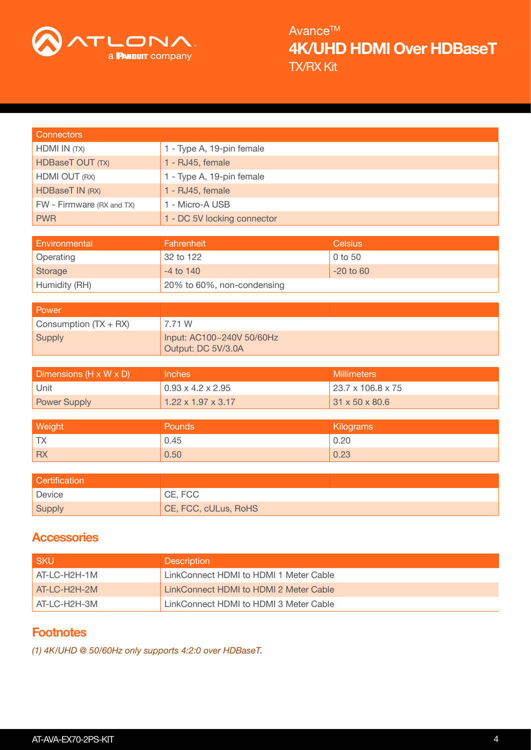

TX/RX Kit 4K/UHD HDMI Over HDBaseT Avance<sup>™</sup>

| <b>Connectors</b>         |                                                 |                    |
|---------------------------|-------------------------------------------------|--------------------|
| HDMI IN (TX)              | 1 - Type A, 19-pin female                       |                    |
| HDBaseT OUT (TX)          | 1 - RJ45, female                                |                    |
| HDMI OUT (RX)             | 1 - Type A, 19-pin female                       |                    |
| <b>HDBaseT IN (RX)</b>    | 1 - RJ45, female                                |                    |
| FW - Firmware (RX and TX) | 1 - Micro-A USB                                 |                    |
| <b>PWR</b>                | 1 - DC 5V locking connector                     |                    |
|                           |                                                 |                    |
| Environmental             | Fahrenheit                                      | <b>Celsius</b>     |
| Operating                 | 32 to 122                                       | 0 to 50            |
| <b>Storage</b>            | $-4$ to $140$                                   | $-20$ to $60$      |
| Humidity (RH)             | 20% to 60%, non-condensing                      |                    |
|                           |                                                 |                    |
| Power                     |                                                 |                    |
| Consumption (TX + RX)     | 7.71 W                                          |                    |
| <b>Supply</b>             | Input: AC100~240V 50/60Hz<br>Output: DC 5V/3.0A |                    |
|                           |                                                 |                    |
| Dimensions (H x W x D)    | Inches                                          | <b>Millimeters</b> |
| Unit                      | $0.93 \times 4.2 \times 2.95$                   | 23.7 x 106.8 x 75  |
| <b>Power Supply</b>       | $1.22 \times 1.97 \times 3.17$                  | 31 x 50 x 80.6     |
|                           |                                                 |                    |
| Weight                    | Pounds                                          | Kilograms          |
| <b>TX</b>                 | 0.45                                            | 0.20               |
| <b>RX</b>                 | 0.50                                            | 0.23               |
|                           |                                                 |                    |
| Certification             |                                                 |                    |
| Device                    | CE, FCC                                         |                    |
| <b>Supply</b>             | CE, FCC, cULus, RoHS                            |                    |
|                           |                                                 |                    |

# **Accessories**

| I SKU          | <b>Description</b>                     |
|----------------|----------------------------------------|
| $AT-LC-H2H-1M$ | LinkConnect HDMI to HDMI 1 Meter Cable |
| LAT-LC-H2H-2M  | LinkConnect HDMI to HDMI 2 Meter Cable |
| LAT-LC-H2H-3M  | LinkConnect HDMI to HDMI 3 Meter Cable |

# **Footnotes**

<span id="page-3-0"></span>*(1) 4K/UHD @ 50/60Hz only supports 4:2:0 over HDBaseT.*